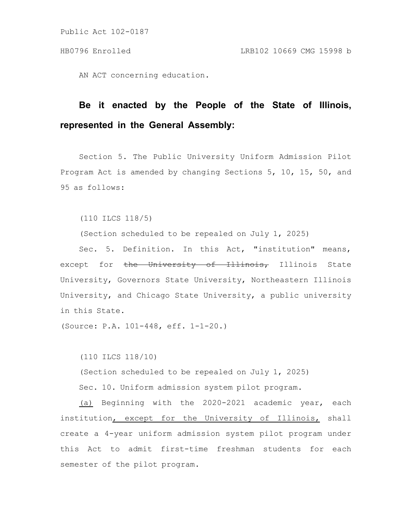AN ACT concerning education.

## **Be it enacted by the People of the State of Illinois, represented in the General Assembly:**

Section 5. The Public University Uniform Admission Pilot Program Act is amended by changing Sections 5, 10, 15, 50, and 95 as follows:

(110 ILCS 118/5)

(Section scheduled to be repealed on July 1, 2025)

Sec. 5. Definition. In this Act, "institution" means, except for the University of Illinois, Illinois State University, Governors State University, Northeastern Illinois University, and Chicago State University, a public university in this State.

(Source: P.A. 101-448, eff. 1-1-20.)

(110 ILCS 118/10)

(Section scheduled to be repealed on July 1, 2025)

Sec. 10. Uniform admission system pilot program.

(a) Beginning with the 2020-2021 academic year, each institution, except for the University of Illinois, shall create a 4-year uniform admission system pilot program under this Act to admit first-time freshman students for each semester of the pilot program.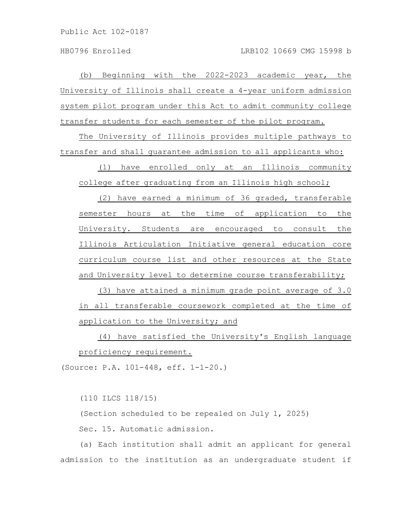(b) Beginning with the 2022-2023 academic year, the University of Illinois shall create a 4-year uniform admission system pilot program under this Act to admit community college transfer students for each semester of the pilot program.

The University of Illinois provides multiple pathways to transfer and shall guarantee admission to all applicants who:

(1) have enrolled only at an Illinois community college after graduating from an Illinois high school;

(2) have earned a minimum of 36 graded, transferable semester hours at the time of application to the University. Students are encouraged to consult the Illinois Articulation Initiative general education core curriculum course list and other resources at the State and University level to determine course transferability;

(3) have attained a minimum grade point average of 3.0 in all transferable coursework completed at the time of application to the University; and

(4) have satisfied the University's English language proficiency requirement.

(Source: P.A. 101-448, eff. 1-1-20.)

(110 ILCS 118/15)

(Section scheduled to be repealed on July 1, 2025)

Sec. 15. Automatic admission.

(a) Each institution shall admit an applicant for general admission to the institution as an undergraduate student if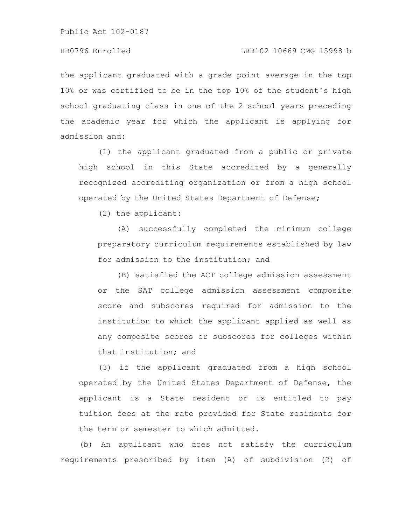## HB0796 Enrolled LRB102 10669 CMG 15998 b

the applicant graduated with a grade point average in the top 10% or was certified to be in the top 10% of the student's high school graduating class in one of the 2 school years preceding the academic year for which the applicant is applying for admission and:

(1) the applicant graduated from a public or private high school in this State accredited by a generally recognized accrediting organization or from a high school operated by the United States Department of Defense;

(2) the applicant:

(A) successfully completed the minimum college preparatory curriculum requirements established by law for admission to the institution; and

(B) satisfied the ACT college admission assessment or the SAT college admission assessment composite score and subscores required for admission to the institution to which the applicant applied as well as any composite scores or subscores for colleges within that institution; and

(3) if the applicant graduated from a high school operated by the United States Department of Defense, the applicant is a State resident or is entitled to pay tuition fees at the rate provided for State residents for the term or semester to which admitted.

(b) An applicant who does not satisfy the curriculum requirements prescribed by item (A) of subdivision (2) of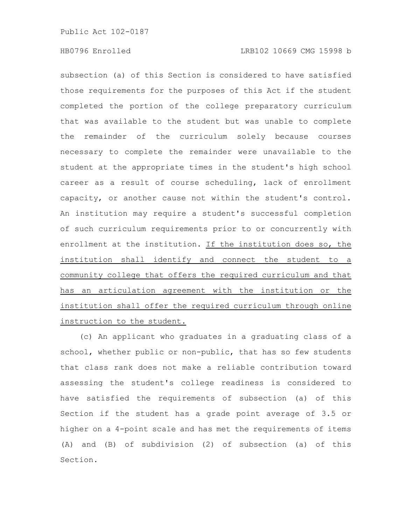subsection (a) of this Section is considered to have satisfied those requirements for the purposes of this Act if the student completed the portion of the college preparatory curriculum that was available to the student but was unable to complete the remainder of the curriculum solely because courses necessary to complete the remainder were unavailable to the student at the appropriate times in the student's high school career as a result of course scheduling, lack of enrollment capacity, or another cause not within the student's control. An institution may require a student's successful completion of such curriculum requirements prior to or concurrently with enrollment at the institution. If the institution does so, the institution shall identify and connect the student to a community college that offers the required curriculum and that has an articulation agreement with the institution or the institution shall offer the required curriculum through online instruction to the student.

(c) An applicant who graduates in a graduating class of a school, whether public or non-public, that has so few students that class rank does not make a reliable contribution toward assessing the student's college readiness is considered to have satisfied the requirements of subsection (a) of this Section if the student has a grade point average of 3.5 or higher on a 4-point scale and has met the requirements of items (A) and (B) of subdivision (2) of subsection (a) of this Section.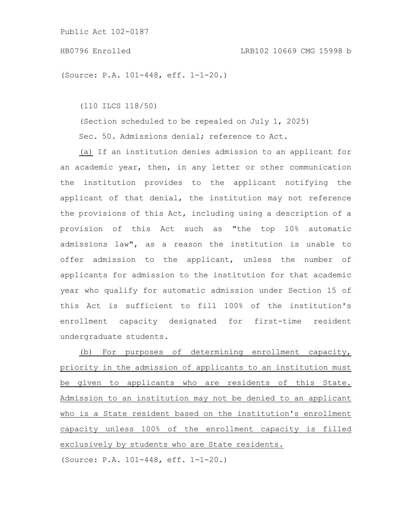## HB0796 Enrolled LRB102 10669 CMG 15998 b

(Source: P.A. 101-448, eff. 1-1-20.)

(110 ILCS 118/50)

(Section scheduled to be repealed on July 1, 2025)

Sec. 50. Admissions denial; reference to Act.

(a) If an institution denies admission to an applicant for an academic year, then, in any letter or other communication the institution provides to the applicant notifying the applicant of that denial, the institution may not reference the provisions of this Act, including using a description of a provision of this Act such as "the top 10% automatic admissions law", as a reason the institution is unable to offer admission to the applicant, unless the number of applicants for admission to the institution for that academic year who qualify for automatic admission under Section 15 of this Act is sufficient to fill 100% of the institution's enrollment capacity designated for first-time resident undergraduate students.

(b) For purposes of determining enrollment capacity, priority in the admission of applicants to an institution must be given to applicants who are residents of this State. Admission to an institution may not be denied to an applicant who is a State resident based on the institution's enrollment capacity unless 100% of the enrollment capacity is filled exclusively by students who are State residents.

(Source: P.A. 101-448, eff. 1-1-20.)